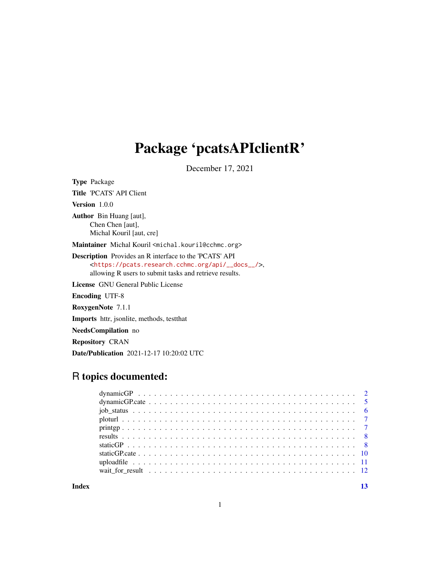## Package 'pcatsAPIclientR'

December 17, 2021

Type Package Title 'PCATS' API Client Version 1.0.0 Author Bin Huang [aut], Chen Chen [aut], Michal Kouril [aut, cre] Maintainer Michal Kouril <michal.kouril@cchmc.org> Description Provides an R interface to the 'PCATS' API <[https://pcats.research.cchmc.org/api/\\_\\_docs\\_\\_/](https://pcats.research.cchmc.org/api/__docs__/)>, allowing R users to submit tasks and retrieve results. License GNU General Public License Encoding UTF-8 RoxygenNote 7.1.1

Imports httr, jsonlite, methods, testthat

NeedsCompilation no

Repository CRAN

Date/Publication 2021-12-17 10:20:02 UTC

## R topics documented:

**Index** [13](#page-12-0)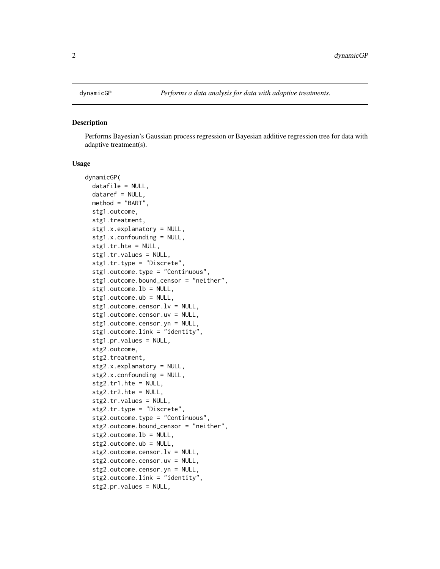<span id="page-1-0"></span>

#### **Description**

Performs Bayesian's Gaussian process regression or Bayesian additive regression tree for data with adaptive treatment(s).

#### Usage

```
dynamicGP(
  datafile = NULL,
  dataref = NULL,
 method = "BART",
  stg1.outcome,
  stg1.treatment,
  stg1.x.explanatory = NULL,
  stg1.x.confounding = NULL,
  stg1.tr.hte = NULL,
  stg1.tr.values = NULL,
  stg1.tr.type = "Discrete",
  stg1.outcome.type = "Continuous",
  stg1.outcome.bound_censor = "neither",
  stg1.outcome.lb = NULL,
  stg1.outcome.ub = NULL,
  stg1.outcome.censor.lv = NULL,
  stg1.outcome.censor.uv = NULL,
  stg1.outcome.censor.yn = NULL,
  stg1.outcome.link = "identity",
  stg1.pr.values = NULL,
  stg2.outcome,
  stg2.treatment,
  stg2.x.explanatory = NULL,
  stg2.x.confounding = NULL,
  stg2.tr1.hte = NULL,
  stg2.tr2.hte = NULL,
  stg2.tr.values = NULL,
  stg2.tr.type = "Discrete",
  stg2.outcome.type = "Continuous",
  stg2.outcome.bound_censor = "neither",
  stg2.outcome.lb = NULL,
  stg2.outcome.ub = NULL,
  stg2.outcome.censor.lv = NULL,
  stg2.outcome.censor.uv = NULL,
  stg2.outcome.censor.yn = NULL,
  stg2.outcome.link = "identity",
  stg2.pr.values = NULL,
```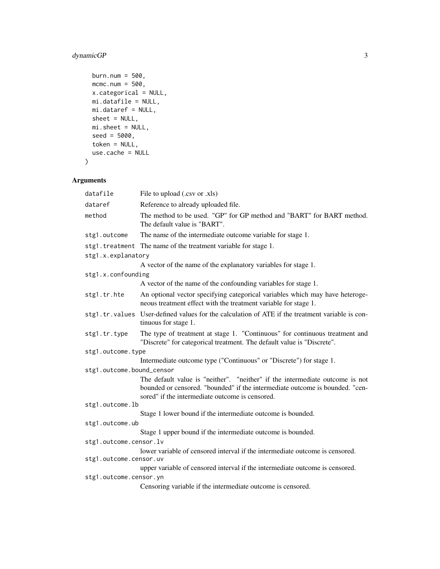## dynamicGP 3

```
burn.num = 500,
 mcmc.num = 500,
 x.categorical = NULL,
 mi.datafile = NULL,
 mi.dataref = NULL,
 sheet = NULL,
 mi.sheet = NULL,
 seed = 5000,
 token = NULL,
 use.cache = NULL
\mathcal{L}
```
## Arguments

| datafile                  | File to upload (.csv or .xls)                                                                                                                                                                                   |
|---------------------------|-----------------------------------------------------------------------------------------------------------------------------------------------------------------------------------------------------------------|
| dataref                   | Reference to already uploaded file.                                                                                                                                                                             |
| method                    | The method to be used. "GP" for GP method and "BART" for BART method.<br>The default value is "BART".                                                                                                           |
| stg1.outcome              | The name of the intermediate outcome variable for stage 1.                                                                                                                                                      |
| stg1.treatment            | The name of the treatment variable for stage 1.                                                                                                                                                                 |
| stg1.x.explanatory        |                                                                                                                                                                                                                 |
|                           | A vector of the name of the explanatory variables for stage 1.                                                                                                                                                  |
| stg1.x.confounding        |                                                                                                                                                                                                                 |
|                           | A vector of the name of the confounding variables for stage 1.                                                                                                                                                  |
| stg1.tr.hte               | An optional vector specifying categorical variables which may have heteroge-<br>neous treatment effect with the treatment variable for stage 1.                                                                 |
|                           | stg1.tr.values User-defined values for the calculation of ATE if the treatment variable is con-<br>tinuous for stage 1.                                                                                         |
| stg1.tr.type              | The type of treatment at stage 1. "Continuous" for continuous treatment and<br>"Discrete" for categorical treatment. The default value is "Discrete".                                                           |
| stg1.outcome.type         |                                                                                                                                                                                                                 |
|                           | Intermediate outcome type ("Continuous" or "Discrete") for stage 1.                                                                                                                                             |
| stg1.outcome.bound_censor |                                                                                                                                                                                                                 |
|                           | The default value is "neither". "neither" if the intermediate outcome is not<br>bounded or censored. "bounded" if the intermediate outcome is bounded. "cen-<br>sored" if the intermediate outcome is censored. |
| stg1.outcome.lb           |                                                                                                                                                                                                                 |
|                           | Stage 1 lower bound if the intermediate outcome is bounded.                                                                                                                                                     |
| stg1.outcome.ub           |                                                                                                                                                                                                                 |
|                           | Stage 1 upper bound if the intermediate outcome is bounded.                                                                                                                                                     |
| stg1.outcome.censor.lv    |                                                                                                                                                                                                                 |
| stg1.outcome.censor.uv    | lower variable of censored interval if the intermediate outcome is censored.                                                                                                                                    |
|                           | upper variable of censored interval if the intermediate outcome is censored.                                                                                                                                    |
| stg1.outcome.censor.yn    |                                                                                                                                                                                                                 |
|                           | Censoring variable if the intermediate outcome is censored.                                                                                                                                                     |
|                           |                                                                                                                                                                                                                 |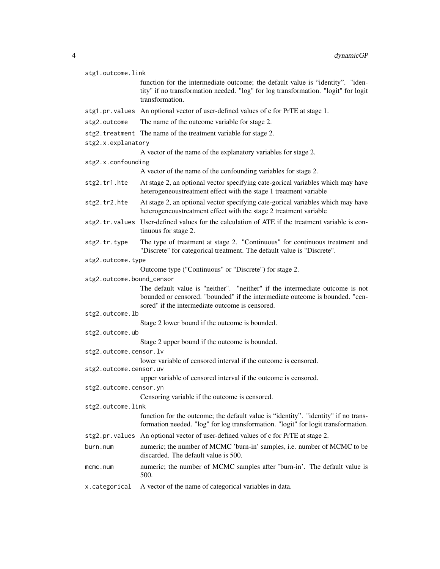| stg1.outcome.link         |                                                                                                                                                                                                                 |  |
|---------------------------|-----------------------------------------------------------------------------------------------------------------------------------------------------------------------------------------------------------------|--|
|                           | function for the intermediate outcome; the default value is "identity". "iden-<br>tity" if no transformation needed. "log" for log transformation. "logit" for logit<br>transformation.                         |  |
|                           | stg1.pr.values An optional vector of user-defined values of c for PrTE at stage 1.                                                                                                                              |  |
| stg2.outcome              | The name of the outcome variable for stage 2.                                                                                                                                                                   |  |
|                           | stg2.treatment The name of the treatment variable for stage 2.                                                                                                                                                  |  |
| stg2.x.explanatory        |                                                                                                                                                                                                                 |  |
|                           | A vector of the name of the explanatory variables for stage 2.                                                                                                                                                  |  |
| stg2.x.confounding        |                                                                                                                                                                                                                 |  |
|                           | A vector of the name of the confounding variables for stage 2.                                                                                                                                                  |  |
| stg2.tr1.hte              | At stage 2, an optional vector specifying cate-gorical variables which may have<br>heterogeneoustreatment effect with the stage 1 treatment variable                                                            |  |
| stg2.tr2.hte              | At stage 2, an optional vector specifying cate-gorical variables which may have<br>heterogeneoustreatment effect with the stage 2 treatment variable                                                            |  |
|                           | stg2.tr.values User-defined values for the calculation of ATE if the treatment variable is con-<br>tinuous for stage 2.                                                                                         |  |
| stg2.tr.type              | The type of treatment at stage 2. "Continuous" for continuous treatment and<br>"Discrete" for categorical treatment. The default value is "Discrete".                                                           |  |
| stg2.outcome.type         |                                                                                                                                                                                                                 |  |
|                           | Outcome type ("Continuous" or "Discrete") for stage 2.                                                                                                                                                          |  |
| stg2.outcome.bound_censor |                                                                                                                                                                                                                 |  |
|                           | The default value is "neither". "neither" if the intermediate outcome is not<br>bounded or censored. "bounded" if the intermediate outcome is bounded. "cen-<br>sored" if the intermediate outcome is censored. |  |
| stg2.outcome.lb           |                                                                                                                                                                                                                 |  |
|                           | Stage 2 lower bound if the outcome is bounded.                                                                                                                                                                  |  |
| stg2.outcome.ub           |                                                                                                                                                                                                                 |  |
|                           | Stage 2 upper bound if the outcome is bounded.                                                                                                                                                                  |  |
| stg2.outcome.censor.lv    |                                                                                                                                                                                                                 |  |
| stg2.outcome.censor.uv    | lower variable of censored interval if the outcome is censored.                                                                                                                                                 |  |
|                           | upper variable of censored interval if the outcome is censored.                                                                                                                                                 |  |
| stg2.outcome.censor.yn    |                                                                                                                                                                                                                 |  |
|                           | Censoring variable if the outcome is censored.                                                                                                                                                                  |  |
| stg2.outcome.link         |                                                                                                                                                                                                                 |  |
|                           | function for the outcome; the default value is "identity". "identity" if no trans-<br>formation needed. "log" for log transformation. "logit" for logit transformation.                                         |  |
|                           | stg2.pr.values An optional vector of user-defined values of c for PrTE at stage 2.                                                                                                                              |  |
| burn.num                  | numeric; the number of MCMC 'burn-in' samples, i.e. number of MCMC to be<br>discarded. The default value is 500.                                                                                                |  |
| mcmc.num                  | numeric; the number of MCMC samples after 'burn-in'. The default value is<br>500.                                                                                                                               |  |
| x.categorical             | A vector of the name of categorical variables in data.                                                                                                                                                          |  |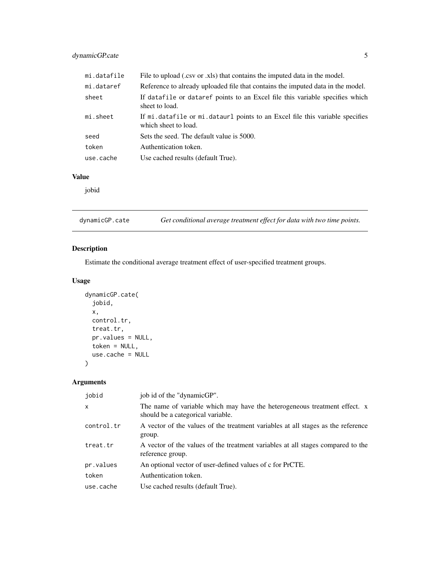## <span id="page-4-0"></span>dynamicGP.cate 5

| mi.datafile | File to upload (.csv or .xls) that contains the imputed data in the model.                             |
|-------------|--------------------------------------------------------------------------------------------------------|
| mi.dataref  | Reference to already uploaded file that contains the imputed data in the model.                        |
| sheet       | If datafile or dataref points to an Excel file this variable specifies which<br>sheet to load.         |
| mi.sheet    | If mi. datafile or mi. dataurl points to an Excel file this variable specifies<br>which sheet to load. |
| seed        | Sets the seed. The default value is 5000.                                                              |
| token       | Authentication token.                                                                                  |
| use.cache   | Use cached results (default True).                                                                     |

#### Value

jobid

dynamicGP.cate *Get conditional average treatment effect for data with two time points.*

## Description

Estimate the conditional average treatment effect of user-specified treatment groups.

## Usage

```
dynamicGP.cate(
  jobid,
  x,
  control.tr,
  treat.tr,
  pr.values = NULL,
  token = NULL,
  use.cache = NULL
\mathcal{L}
```
#### Arguments

| jobid        | job id of the "dynamicGP".                                                                                     |
|--------------|----------------------------------------------------------------------------------------------------------------|
| $\mathsf{x}$ | The name of variable which may have the heterogeneous treatment effect. x<br>should be a categorical variable. |
| control.tr   | A vector of the values of the treatment variables at all stages as the reference<br>group.                     |
| treat.tr     | A vector of the values of the treatment variables at all stages compared to the<br>reference group.            |
| pr.values    | An optional vector of user-defined values of c for PrCTE.                                                      |
| token        | Authentication token.                                                                                          |
| use.cache    | Use cached results (default True).                                                                             |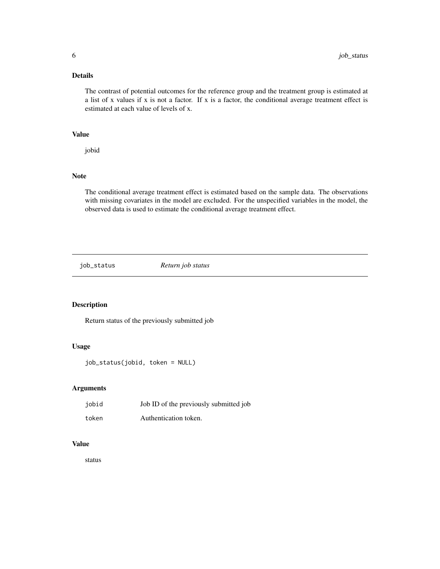#### <span id="page-5-0"></span>Details

The contrast of potential outcomes for the reference group and the treatment group is estimated at a list of x values if x is not a factor. If x is a factor, the conditional average treatment effect is estimated at each value of levels of x.

#### Value

jobid

#### Note

The conditional average treatment effect is estimated based on the sample data. The observations with missing covariates in the model are excluded. For the unspecified variables in the model, the observed data is used to estimate the conditional average treatment effect.

job\_status *Return job status*

#### Description

Return status of the previously submitted job

#### Usage

job\_status(jobid, token = NULL)

#### Arguments

| jobid | Job ID of the previously submitted job |
|-------|----------------------------------------|
| token | Authentication token.                  |

#### Value

status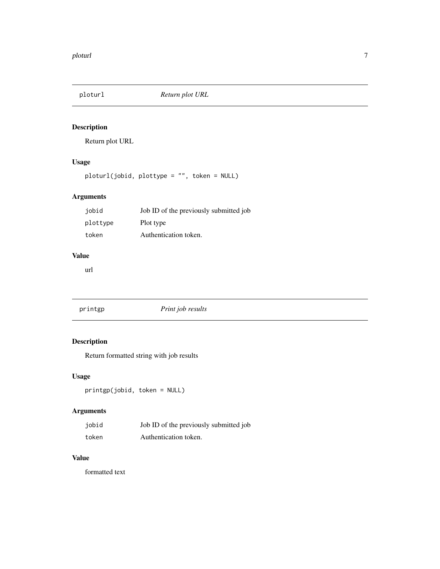<span id="page-6-0"></span>

## Description

Return plot URL

## Usage

ploturl(jobid, plottype = "", token = NULL)

## Arguments

| iobid    | Job ID of the previously submitted job |
|----------|----------------------------------------|
| plottype | Plot type                              |
| token    | Authentication token.                  |

#### Value

url

| printgp | Print job results |  |
|---------|-------------------|--|
|         |                   |  |

## Description

Return formatted string with job results

## Usage

printgp(jobid, token = NULL)

## Arguments

| jobid | Job ID of the previously submitted job |
|-------|----------------------------------------|
| token | Authentication token.                  |

#### Value

formatted text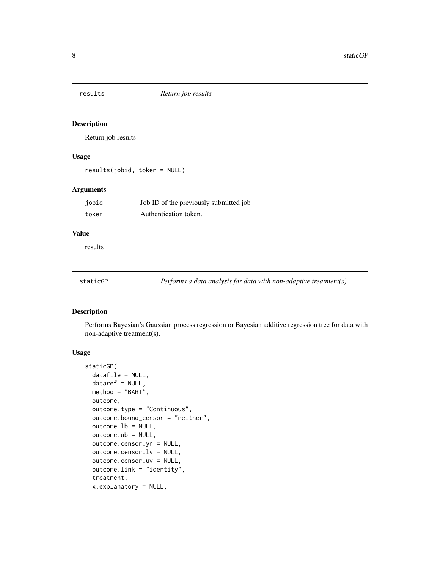<span id="page-7-0"></span>

#### Description

Return job results

#### Usage

results(jobid, token = NULL)

#### Arguments

| jobid | Job ID of the previously submitted job |
|-------|----------------------------------------|
| token | Authentication token.                  |

#### Value

results

staticGP *Performs a data analysis for data with non-adaptive treatment(s).*

#### Description

Performs Bayesian's Gaussian process regression or Bayesian additive regression tree for data with non-adaptive treatment(s).

#### Usage

```
staticGP(
  datafile = NULL,
  dataref = NULL,
 method = "BART",
 outcome,
  outcome.type = "Continuous",
  outcome.bound_censor = "neither",
  outcome.lb = NULL,
  outcome.ub = NULL,
  outcome.censor.yn = NULL,
  outcome.censor.lv = NULL,outcome.censor.uv = NULL,
  outcome.link = "identity",
  treatment,
  x.explanatory = NULL,
```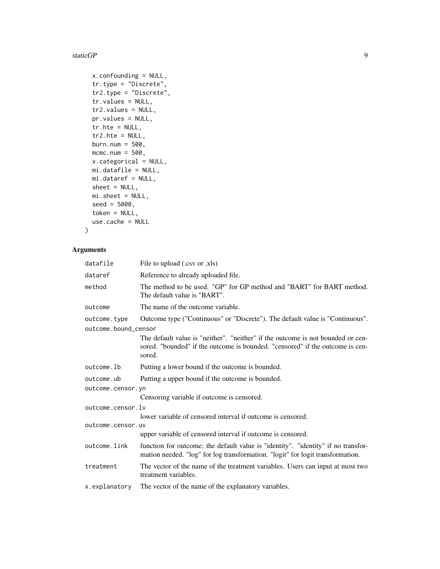#### staticGP 9

```
x.confounding = NULL,
tr.type = "Discrete",
tr2.type = "Discrete",
tr.values = NULL,
tr2.values = NULL,
pr.values = NULL,
tr.hte = NULL,
tr2.hte = NULL,
burn.num = 500,
mcmc.num = 500,
x.categorical = NULL,
mi.datafile = NULL,
mi.dataref = NULL,
sheet = NULL,
mi.sheet = NULL,
seed = 5000,token = NULL,
use.cache = NULL
```
## Arguments

 $\mathcal{L}$ 

| datafile             | File to upload (.csv or .xls)                                                                                                                                              |  |
|----------------------|----------------------------------------------------------------------------------------------------------------------------------------------------------------------------|--|
| dataref              | Reference to already uploaded file.                                                                                                                                        |  |
| method               | The method to be used. "GP" for GP method and "BART" for BART method.<br>The default value is "BART".                                                                      |  |
| outcome              | The name of the outcome variable.                                                                                                                                          |  |
| outcome.type         | Outcome type ("Continuous" or "Discrete"). The default value is "Continuous".                                                                                              |  |
| outcome.bound_censor |                                                                                                                                                                            |  |
|                      | The default value is "neither". "neither" if the outcome is not bounded or cen-<br>sored. "bounded" if the outcome is bounded. "censored" if the outcome is cen-<br>sored. |  |
| outcome.lb           | Putting a lower bound if the outcome is bounded.                                                                                                                           |  |
| outcome.ub           | Putting a upper bound if the outcome is bounded.                                                                                                                           |  |
| outcome.censor.yn    |                                                                                                                                                                            |  |
|                      | Censoring variable if outcome is censored.                                                                                                                                 |  |
| outcome.censor.lv    |                                                                                                                                                                            |  |
|                      | lower variable of censored interval if outcome is censored.                                                                                                                |  |
| outcome.censor.uv    |                                                                                                                                                                            |  |
|                      | upper variable of censored interval if outcome is censored.                                                                                                                |  |
| outcome.link         | function for outcome; the default value is "identity". "identity" if no transfor-<br>mation needed. "log" for log transformation. "logit" for logit transformation.        |  |
| treatment            | The vector of the name of the treatment variables. Users can input at most two<br>treatment variables.                                                                     |  |
| x.explanatory        | The vector of the name of the explanatory variables.                                                                                                                       |  |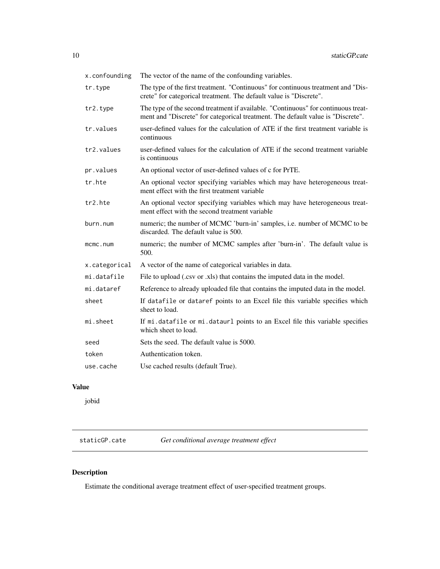<span id="page-9-0"></span>

| x.confounding | The vector of the name of the confounding variables.                                                                                                                 |
|---------------|----------------------------------------------------------------------------------------------------------------------------------------------------------------------|
| tr.type       | The type of the first treatment. "Continuous" for continuous treatment and "Dis-<br>crete" for categorical treatment. The default value is "Discrete".               |
| tr2.type      | The type of the second treatment if available. "Continuous" for continuous treat-<br>ment and "Discrete" for categorical treatment. The default value is "Discrete". |
| tr.values     | user-defined values for the calculation of ATE if the first treatment variable is<br>continuous                                                                      |
| tr2.values    | user-defined values for the calculation of ATE if the second treatment variable<br>is continuous                                                                     |
| pr.values     | An optional vector of user-defined values of c for PrTE.                                                                                                             |
| tr.hte        | An optional vector specifying variables which may have heterogeneous treat-<br>ment effect with the first treatment variable                                         |
| tr2.hte       | An optional vector specifying variables which may have heterogeneous treat-<br>ment effect with the second treatment variable                                        |
| burn.num      | numeric; the number of MCMC 'burn-in' samples, i.e. number of MCMC to be<br>discarded. The default value is 500.                                                     |
| mcmc.num      | numeric; the number of MCMC samples after 'burn-in'. The default value is<br>500.                                                                                    |
| x.categorical | A vector of the name of categorical variables in data.                                                                                                               |
| mi.datafile   | File to upload (.csv or .xls) that contains the imputed data in the model.                                                                                           |
| mi.dataref    | Reference to already uploaded file that contains the imputed data in the model.                                                                                      |
| sheet         | If datafile or dataref points to an Excel file this variable specifies which<br>sheet to load.                                                                       |
| mi.sheet      | If mi.datafile or mi.dataurl points to an Excel file this variable specifies<br>which sheet to load.                                                                 |
| seed          | Sets the seed. The default value is 5000.                                                                                                                            |
| token         | Authentication token.                                                                                                                                                |
| use.cache     | Use cached results (default True).                                                                                                                                   |

## Value

jobid

staticGP.cate *Get conditional average treatment effect*

## Description

Estimate the conditional average treatment effect of user-specified treatment groups.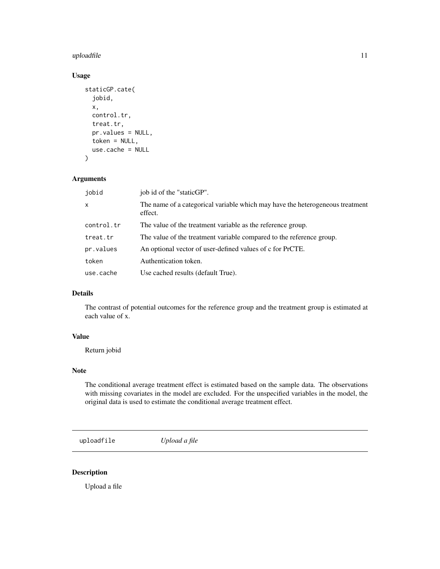#### <span id="page-10-0"></span>uploadfile the contract of the contract of the contract of the contract of the contract of the contract of the contract of the contract of the contract of the contract of the contract of the contract of the contract of the

#### Usage

```
staticGP.cate(
  jobid,
  x,
  control.tr,
  treat.tr,
  pr.values = NULL,
  token = NULL,
  use.cache = NULL
\mathcal{E}
```
#### Arguments

| jobid        | job id of the "staticGP".                                                                |  |
|--------------|------------------------------------------------------------------------------------------|--|
| $\mathsf{x}$ | The name of a categorical variable which may have the heterogeneous treatment<br>effect. |  |
| control.tr   | The value of the treatment variable as the reference group.                              |  |
| treat.tr     | The value of the treatment variable compared to the reference group.                     |  |
| pr.values    | An optional vector of user-defined values of c for PrCTE.                                |  |
| token        | Authentication token.                                                                    |  |
| use.cache    | Use cached results (default True).                                                       |  |

### Details

The contrast of potential outcomes for the reference group and the treatment group is estimated at each value of x.

## Value

Return jobid

#### Note

The conditional average treatment effect is estimated based on the sample data. The observations with missing covariates in the model are excluded. For the unspecified variables in the model, the original data is used to estimate the conditional average treatment effect.

uploadfile *Upload a file*

#### Description

Upload a file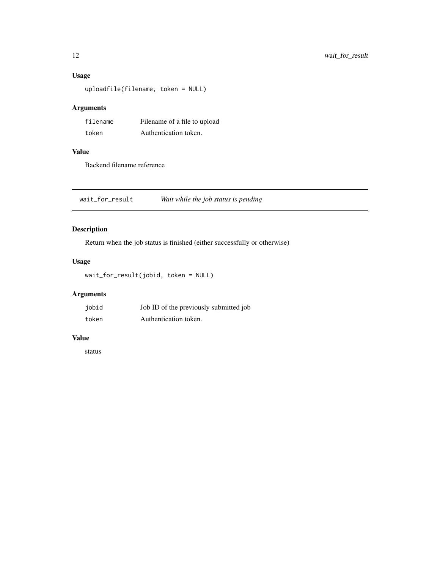### <span id="page-11-0"></span>Usage

uploadfile(filename, token = NULL)

## Arguments

| filename | Filename of a file to upload |
|----------|------------------------------|
| token    | Authentication token.        |

#### Value

Backend filename reference

wait\_for\_result *Wait while the job status is pending*

## Description

Return when the job status is finished (either successfully or otherwise)

#### Usage

wait\_for\_result(jobid, token = NULL)

## Arguments

| jobid | Job ID of the previously submitted job |
|-------|----------------------------------------|
| token | Authentication token.                  |

#### Value

status